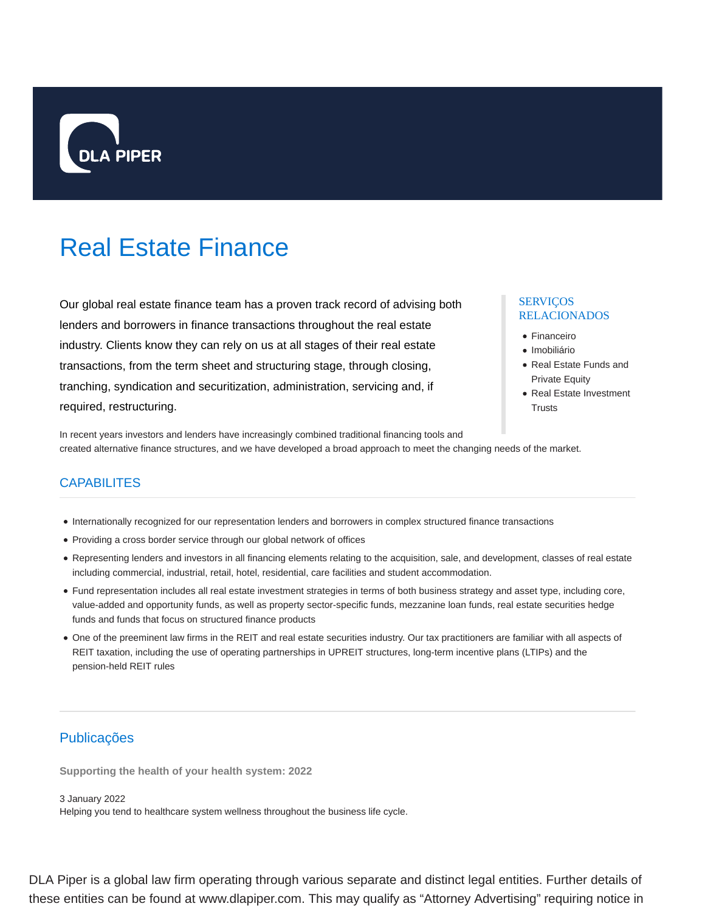

# Real Estate Finance

Our global real estate finance team has a proven track record of advising both lenders and borrowers in finance transactions throughout the real estate industry. Clients know they can rely on us at all stages of their real estate transactions, from the term sheet and structuring stage, through closing, tranching, syndication and securitization, administration, servicing and, if required, restructuring.

### SERVIÇOS RELACIONADOS

- Financeiro
- · Imobiliário
- Real Estate Funds and Private Equity
- Real Estate Investment **Trusts**

In recent years investors and lenders have increasingly combined traditional financing tools and created alternative finance structures, and we have developed a broad approach to meet the changing needs of the market.

## **CAPABILITES**

- Internationally recognized for our representation lenders and borrowers in complex structured finance transactions
- Providing a cross border service through our global network of offices
- Representing lenders and investors in all financing elements relating to the acquisition, sale, and development, classes of real estate including commercial, industrial, retail, hotel, residential, care facilities and student accommodation.
- Fund representation includes all real estate investment strategies in terms of both business strategy and asset type, including core, value-added and opportunity funds, as well as property sector-specific funds, mezzanine loan funds, real estate securities hedge funds and funds that focus on structured finance products
- One of the preeminent law firms in the REIT and real estate securities industry. Our tax practitioners are familiar with all aspects of REIT taxation, including the use of operating partnerships in UPREIT structures, long-term incentive plans (LTIPs) and the pension-held REIT rules

# Publicações

**Supporting the health of your health system: 2022**

3 January 2022 Helping you tend to healthcare system wellness throughout the business life cycle.

DLA Piper is a global law firm operating through various separate and distinct legal entities. Further details of these entities can be found at www.dlapiper.com. This may qualify as "Attorney Advertising" requiring notice in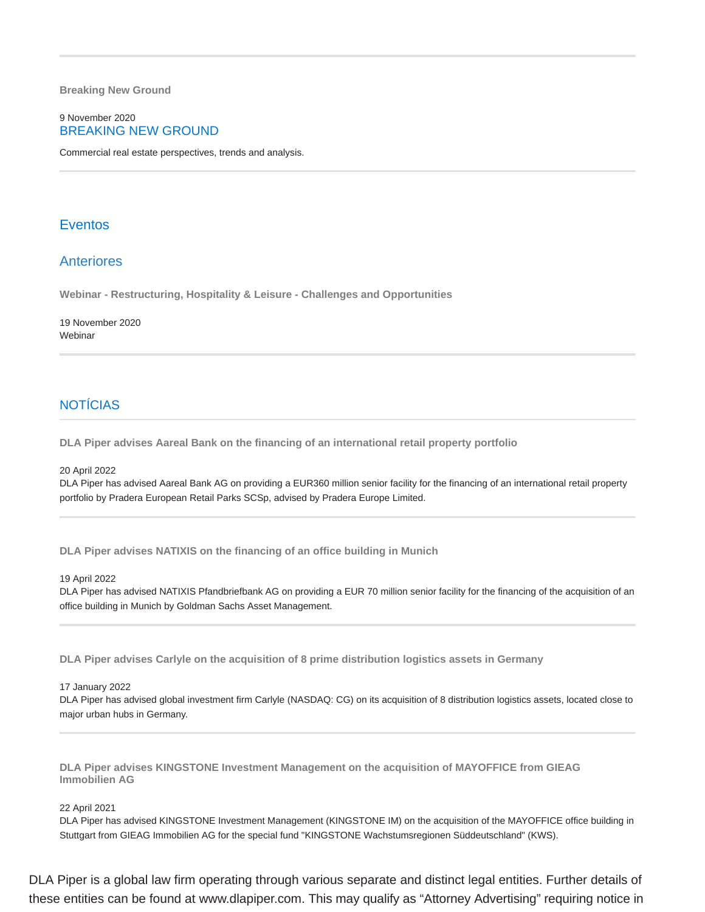**Breaking New Ground**

### 9 November 2020 BREAKING NEW GROUND

Commercial real estate perspectives, trends and analysis.

### Eventos

### Anteriores

**Webinar - Restructuring, Hospitality & Leisure - Challenges and Opportunities**

19 November 2020 Webinar

# **NOTÍCIAS**

**DLA Piper advises Aareal Bank on the financing of an international retail property portfolio**

20 April 2022

DLA Piper has advised Aareal Bank AG on providing a EUR360 million senior facility for the financing of an international retail property portfolio by Pradera European Retail Parks SCSp, advised by Pradera Europe Limited.

**DLA Piper advises NATIXIS on the financing of an office building in Munich**

19 April 2022

DLA Piper has advised NATIXIS Pfandbriefbank AG on providing a EUR 70 million senior facility for the financing of the acquisition of an office building in Munich by Goldman Sachs Asset Management.

**DLA Piper advises Carlyle on the acquisition of 8 prime distribution logistics assets in Germany**

17 January 2022

DLA Piper has advised global investment firm Carlyle (NASDAQ: CG) on its acquisition of 8 distribution logistics assets, located close to major urban hubs in Germany.

**DLA Piper advises KINGSTONE Investment Management on the acquisition of MAYOFFICE from GIEAG Immobilien AG**

### 22 April 2021

DLA Piper has advised KINGSTONE Investment Management (KINGSTONE IM) on the acquisition of the MAYOFFICE office building in Stuttgart from GIEAG Immobilien AG for the special fund "KINGSTONE Wachstumsregionen Süddeutschland" (KWS).

DLA Piper is a global law firm operating through various separate and distinct legal entities. Further details of these entities can be found at www.dlapiper.com. This may qualify as "Attorney Advertising" requiring notice in